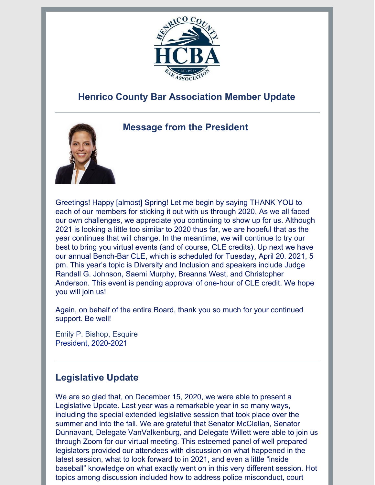

# **Henrico County Bar Association Member Update**



## **Message from the President**

Greetings! Happy [almost] Spring! Let me begin by saying THANK YOU to each of our members for sticking it out with us through 2020. As we all faced our own challenges, we appreciate you continuing to show up for us. Although 2021 is looking a little too similar to 2020 thus far, we are hopeful that as the year continues that will change. In the meantime, we will continue to try our best to bring you virtual events (and of course, CLE credits). Up next we have our annual Bench-Bar CLE, which is scheduled for Tuesday, April 20. 2021, 5 pm. This year's topic is Diversity and Inclusion and speakers include Judge Randall G. Johnson, Saemi Murphy, Breanna West, and Christopher Anderson. This event is pending approval of one-hour of CLE credit. We hope you will join us!

Again, on behalf of the entire Board, thank you so much for your continued support. Be well!

Emily P. Bishop, Esquire President, 2020-2021

## **Legislative Update**

We are so glad that, on December 15, 2020, we were able to present a Legislative Update. Last year was a remarkable year in so many ways, including the special extended legislative session that took place over the summer and into the fall. We are grateful that Senator McClellan, Senator Dunnavant, Delegate VanValkenburg, and Delegate Willett were able to join us through Zoom for our virtual meeting. This esteemed panel of well-prepared legislators provided our attendees with discussion on what happened in the latest session, what to look forward to in 2021, and even a little "inside baseball" knowledge on what exactly went on in this very different session. Hot topics among discussion included how to address police misconduct, court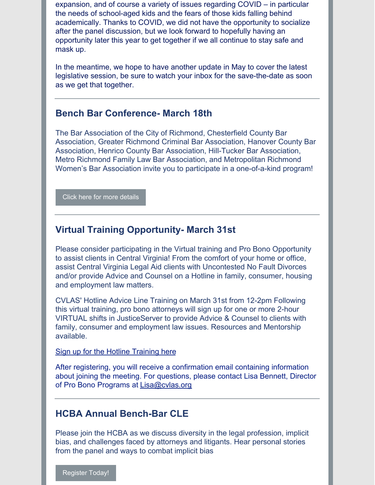expansion, and of course a variety of issues regarding COVID – in particular the needs of school-aged kids and the fears of those kids falling behind academically. Thanks to COVID, we did not have the opportunity to socialize after the panel discussion, but we look forward to hopefully having an opportunity later this year to get together if we all continue to stay safe and mask up.

In the meantime, we hope to have another update in May to cover the latest legislative session, be sure to watch your inbox for the save-the-date as soon as we get that together.

## **Bench Bar Conference- March 18th**

The Bar Association of the City of Richmond, Chesterfield County Bar Association, Greater Richmond Criminal Bar Association, Hanover County Bar Association, Henrico County Bar Association, Hill-Tucker Bar Association, Metro Richmond Family Law Bar Association, and Metropolitan Richmond Women's Bar Association invite you to participate in a one-of-a-kind program!

#### Click here for more [details](https://files.constantcontact.com/a910e112101/fd0aa74b-6584-4ab6-842f-b17ed8e0c989.pdf)

## **Virtual Training Opportunity- March 31st**

Please consider participating in the Virtual training and Pro Bono Opportunity to assist clients in Central Virginia! From the comfort of your home or office, assist Central Virginia Legal Aid clients with Uncontested No Fault Divorces and/or provide Advice and Counsel on a Hotline in family, consumer, housing and employment law matters.

CVLAS' Hotline Advice Line Training on March 31st from 12-2pm Following this virtual training, pro bono attorneys will sign up for one or more 2-hour VIRTUAL shifts in JusticeServer to provide Advice & Counsel to clients with family, consumer and employment law issues. Resources and Mentorship available.

#### Sign up for the Hotline [Training](https://huntonak.zoom.us/meeting/register/tJwlduChrzsiHtLfnaceH_CTsyqPdz4oV2IJ) here

After registering, you will receive a confirmation email containing information about joining the meeting. For questions, please contact Lisa Bennett, Director of Pro Bono Programs at [Lisa@cvlas.org](mailto:Lisa@cvlas.org)

### **HCBA Annual Bench-Bar CLE**

Please join the HCBA as we discuss diversity in the legal profession, implicit bias, and challenges faced by attorneys and litigants. Hear personal stories from the panel and ways to combat implicit bias